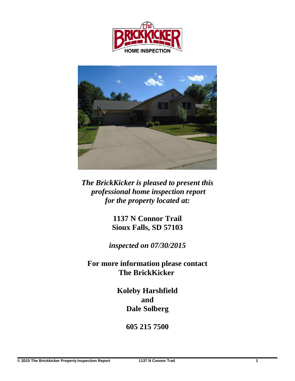



*The BrickKicker is pleased to present this professional home inspection report for the property located at:*

> **1137 N Connor Trail Sioux Falls, SD 57103**

*inspected on 07/30/2015*

**For more information please contact The BrickKicker** 

> **Koleby Harshfield and Dale Solberg**

> > **605 215 7500**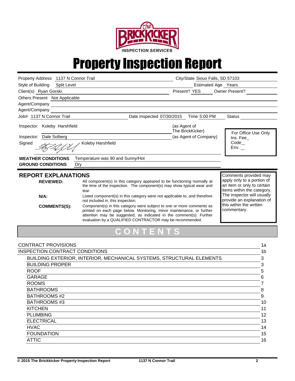

## Property Inspection Report

| Property Address 1137 N Connor Trail                                             |                                                                                                                                                                                                                                                                                                                                                                                                                                                                                                                                                                     | City/State Sioux Falls, SD 57103 |                                                                                                                                                                                                                      |  |
|----------------------------------------------------------------------------------|---------------------------------------------------------------------------------------------------------------------------------------------------------------------------------------------------------------------------------------------------------------------------------------------------------------------------------------------------------------------------------------------------------------------------------------------------------------------------------------------------------------------------------------------------------------------|----------------------------------|----------------------------------------------------------------------------------------------------------------------------------------------------------------------------------------------------------------------|--|
| Style of Building<br>Split Level                                                 |                                                                                                                                                                                                                                                                                                                                                                                                                                                                                                                                                                     | Estimated Age Years              |                                                                                                                                                                                                                      |  |
| Client(s) Ryan Gorski.                                                           |                                                                                                                                                                                                                                                                                                                                                                                                                                                                                                                                                                     | Present? YES                     | Owner Present?                                                                                                                                                                                                       |  |
| Others Present Not Applicable                                                    |                                                                                                                                                                                                                                                                                                                                                                                                                                                                                                                                                                     |                                  |                                                                                                                                                                                                                      |  |
| Agent/Company                                                                    |                                                                                                                                                                                                                                                                                                                                                                                                                                                                                                                                                                     |                                  |                                                                                                                                                                                                                      |  |
| Agent/Company                                                                    |                                                                                                                                                                                                                                                                                                                                                                                                                                                                                                                                                                     |                                  |                                                                                                                                                                                                                      |  |
| Job# 1137 N Connor Trail                                                         | Date Inspected 07/30/2015 Time 5:00 PM                                                                                                                                                                                                                                                                                                                                                                                                                                                                                                                              |                                  | <b>Status</b>                                                                                                                                                                                                        |  |
| Inspector: Koleby Harshfield                                                     |                                                                                                                                                                                                                                                                                                                                                                                                                                                                                                                                                                     | (as Agent of<br>The BrickKicker) | For Office Use Only                                                                                                                                                                                                  |  |
| Inspector: Dale Solberg                                                          |                                                                                                                                                                                                                                                                                                                                                                                                                                                                                                                                                                     | (as Agent of Company)            | Ins. Fee                                                                                                                                                                                                             |  |
| Signed                                                                           | Koleby Harshfield                                                                                                                                                                                                                                                                                                                                                                                                                                                                                                                                                   |                                  | $Code_$<br>Env.                                                                                                                                                                                                      |  |
| <b>WEATHER CONDITIONS</b>                                                        | Temperature was 90 and Sunny/Hot                                                                                                                                                                                                                                                                                                                                                                                                                                                                                                                                    |                                  |                                                                                                                                                                                                                      |  |
| <b>GROUND CONDITIONS</b><br>Dry                                                  |                                                                                                                                                                                                                                                                                                                                                                                                                                                                                                                                                                     |                                  |                                                                                                                                                                                                                      |  |
| <b>REPORT EXPLANATIONS</b><br><b>REVIEWED:</b><br>$N/A$ :<br><b>COMMENTS(S):</b> | All component(s) in this category appeared to be functioning normally at<br>the time of the inspection. The component(s) may show typical wear and<br>tear.<br>Listed component(s) in this category were not applicable to, and therefore<br>not included in, this inspection.<br>Component(s) in this category were subject to one or more comments as<br>printed on each page below. Monitoring, minor maintenance, or further<br>attention may be suggested, as indicated in the comment(s). Further<br>evaluation by a QUALIFIED CONTRACTOR may be recommended. |                                  | Comments provided may<br>apply only to a portion of<br>an item or only to certain<br>items within the category.<br>The inspector will usually<br>provide an explanation of<br>this within the written<br>commentary. |  |
|                                                                                  | CONTENTS                                                                                                                                                                                                                                                                                                                                                                                                                                                                                                                                                            |                                  |                                                                                                                                                                                                                      |  |
| <b>CONTRACT PROVISIONS</b>                                                       |                                                                                                                                                                                                                                                                                                                                                                                                                                                                                                                                                                     |                                  | 1a                                                                                                                                                                                                                   |  |
| <b>INSPECTION CONTRACT CONDITIONS</b>                                            |                                                                                                                                                                                                                                                                                                                                                                                                                                                                                                                                                                     |                                  | 1 <sub>b</sub>                                                                                                                                                                                                       |  |
|                                                                                  | BUILDING EXTERIOR, INTERIOR, MECHANICAL SYSTEMS, STRUCTURAL ELEMENTS                                                                                                                                                                                                                                                                                                                                                                                                                                                                                                |                                  | 3                                                                                                                                                                                                                    |  |
| <b>BUILDING PROPER</b>                                                           |                                                                                                                                                                                                                                                                                                                                                                                                                                                                                                                                                                     |                                  | 3                                                                                                                                                                                                                    |  |
| <b>ROOF</b>                                                                      |                                                                                                                                                                                                                                                                                                                                                                                                                                                                                                                                                                     |                                  | 5                                                                                                                                                                                                                    |  |
| <b>GARAGE</b>                                                                    |                                                                                                                                                                                                                                                                                                                                                                                                                                                                                                                                                                     |                                  | 6                                                                                                                                                                                                                    |  |
| <b>ROOMS</b>                                                                     |                                                                                                                                                                                                                                                                                                                                                                                                                                                                                                                                                                     |                                  | 7                                                                                                                                                                                                                    |  |
| <b>BATHROOMS</b>                                                                 |                                                                                                                                                                                                                                                                                                                                                                                                                                                                                                                                                                     |                                  | 8                                                                                                                                                                                                                    |  |
| <b>BATHROOMS#2</b>                                                               |                                                                                                                                                                                                                                                                                                                                                                                                                                                                                                                                                                     |                                  | 9                                                                                                                                                                                                                    |  |
| <b>BATHROOMS#3</b>                                                               |                                                                                                                                                                                                                                                                                                                                                                                                                                                                                                                                                                     |                                  | 10 <sup>1</sup>                                                                                                                                                                                                      |  |
| <b>KITCHEN</b>                                                                   |                                                                                                                                                                                                                                                                                                                                                                                                                                                                                                                                                                     |                                  | 11                                                                                                                                                                                                                   |  |
| <b>PLUMBING</b>                                                                  |                                                                                                                                                                                                                                                                                                                                                                                                                                                                                                                                                                     |                                  | 12                                                                                                                                                                                                                   |  |
| <b>ELECTRICAL</b>                                                                |                                                                                                                                                                                                                                                                                                                                                                                                                                                                                                                                                                     |                                  | 13                                                                                                                                                                                                                   |  |
| <b>HVAC</b>                                                                      |                                                                                                                                                                                                                                                                                                                                                                                                                                                                                                                                                                     |                                  | 14                                                                                                                                                                                                                   |  |

FOUNDATION 15 ATTIC 16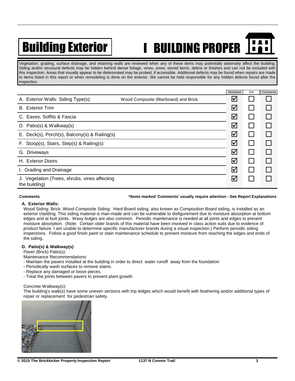# Building Exterior | I BUILDING PROPER

Vegetation, grading, surface drainage, and retaining walls are reviewed when any of these items may potentially adversely affect the building. Siding and/or structural defects may be hidden behind dense foliage, vines, snow, stored items, debris or finishes and can not be included with this inspection. Areas that visually appear to be deteriorated may be probed, if accessible. Additional defects may be found when repairs are made to items listed in this report or when remodeling is done on the exterior. We cannot be held responsible for any hidden defects found after the inspection.

|                                                                |                                        | Reviewed             | N/A | *Comments |
|----------------------------------------------------------------|----------------------------------------|----------------------|-----|-----------|
| A. Exterior Walls: Siding Type(s):                             | Wood Composite (fiberboard) and Brick. | ⊻                    |     |           |
| <b>B.</b> Exterior Trim                                        |                                        | $\blacktriangledown$ |     |           |
| C. Eaves, Soffits & Fascia                                     |                                        | ⊻                    |     |           |
| D. Patio(s) & Walkway(s)                                       |                                        | ☑                    |     |           |
| E. Deck(s), Porch(s), Balcony(s) & Railing(s)                  |                                        | ⊻                    |     |           |
| F. Stoop(s), Stairs, Step(s) & Railing(s)                      |                                        | $\blacktriangledown$ |     |           |
| G. Driveways                                                   |                                        | ☑                    |     |           |
| <b>Exterior Doors</b><br>Н.                                    |                                        | $\blacktriangledown$ |     |           |
| I. Grading and Drainage                                        |                                        | $\blacktriangledown$ |     |           |
| J. Vegetation (Trees, shrubs, vines affecting<br>the building) |                                        | ⊻                    |     |           |

#### **Comments \*Items marked 'Comments' usually require attention - See Report Explanations**

#### **A. Exterior Walls:**

Wood Siding: Brick: Wood Composite Siding: Hard Board siding, also known as Composition Board siding, is installed as an exterior cladding. This siding material is man-made and can be vulnerable to disfigurement due to moisture absorption at bottom edges and at butt joints. Wavy bulges are also common. Periodic maintenance is needed at all joints and edges to prevent moisture absorption. (Note: Certain older brands of this material have been involved in class action suits due to evidence of product failure. I am unable to determine specific manufacturer brands during a visual inspection.) Perform periodic siding inspections. Follow a good finish paint or stain maintenance schedule to prevent moisture from reaching the edges and ends of the siding.

### **D. Patio(s) & Walkway(s)**

Paver (Brick) Patio(s):

Maintenance Recommendations:

- Maintain the pavers installed at the building in order to direct water runoff away from the foundation
- Periodically wash surfaces to remove stains.
- Replace any damaged or loose pieces.
- Treat the joints between pavers to prevent plant growth.

#### Concrete Walkway(s):

The building's walk(s) have some uneven sections with trip ledges which would benefit with feathering and/or additional types of repair or replacement for pedestrian safety.

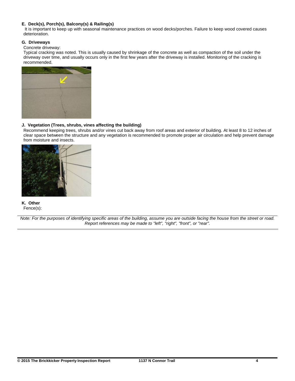### **E. Deck(s), Porch(s), Balcony(s) & Railing(s)**

It is important to keep up with seasonal maintenance practices on wood decks/porches. Failure to keep wood covered causes deterioration.

### **G. Driveways**

Concrete driveway:

Typical cracking was noted. This is usually caused by shrinkage of the concrete as well as compaction of the soil under the driveway over time, and usually occurs only in the first few years after the driveway is installed. Monitoring of the cracking is recommended.



### **J. Vegetation (Trees, shrubs, vines affecting the building)**

Recommend keeping trees, shrubs and/or vines cut back away from roof areas and exterior of building. At least 8 to 12 inches of clear space between the structure and any vegetation is recommended to promote proper air circulation and help prevent damage from moisture and insects.



**K. Other** Fence(s):

*Note: For the purposes of identifying specific areas of the building, assume you are outside facing the house from the street or road. Report references may be made to "left", "right", "front", or "rear".*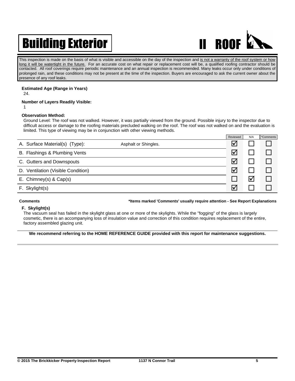## Building Exterior | New York 11 ROOF



This inspection is made on the basis of what is visible and accessible on the day of the inspection and is not a warranty of the roof system or how long it will be watertight in the future. For an accurate cost on what repair or replacement cost will be, a qualified roofing contractor should be contacted. All roof coverings require periodic maintenance and an annual inspection is recommended. Many leaks occur only under conditions of prolonged rain, and these conditions may not be present at the time of the inspection. Buyers are encouraged to ask the current owner about the presence of any roof leaks.

#### **Estimated Age (Range in Years)** 24.

### **Number of Layers Readily Visible:**

1

### **Observation Method:**

Ground Level: The roof was not walked. However, it was partially viewed from the ground. Possible injury to the inspector due to difficult access or damage to the roofing materials precluded walking on the roof. The roof was not walked on and the evaluation is limited. This type of viewing may be in conjunction with other viewing methods.

|                                                        | Reviewed | N/A | *Comments |
|--------------------------------------------------------|----------|-----|-----------|
| A. Surface Material(s) (Type):<br>Asphalt or Shingles. | ∇        |     |           |
| B. Flashings & Plumbing Vents                          | ☑        |     |           |
| C. Gutters and Downspouts                              | ☑        |     |           |
| D. Ventilation (Visible Condition)                     | ☑        |     |           |
| E. Chimney(s) & Cap(s)                                 |          |     |           |
| F. Skylight(s)                                         | Ⅳ        |     |           |

#### **Comments \*Items marked 'Comments' usually require attention - See Report Explanations**

### **F. Skylight(s)**

The vacuum seal has failed in the skylight glass at one or more of the skylights. While the "fogging" of the glass is largely cosmetic, there is an accompanying loss of insulation value and correction of this condition requires replacement of the entire, factory assembled glazing unit.

#### **We recommend referring to the HOME REFERENCE GUIDE provided with this report for maintenance suggestions.**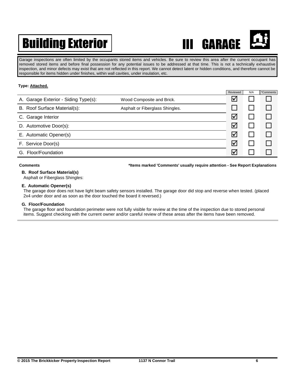## Building Exterior | THE GARAGE



Garage inspections are often limited by the occupants stored items and vehicles. Be sure to review this area after the current occupant has removed stored items and before final possession for any potential issues to be addressed at that time. This is not a technically exhaustive inspection, and minor defects may exist that are not reflected in this report. We cannot detect latent or hidden conditions, and therefore cannot be responsible for items hidden under finishes, within wall cavities, under insulation, etc.

### **Type: Attached.**

|                                      |                                 | Reviewed             | N/A | *Comments |
|--------------------------------------|---------------------------------|----------------------|-----|-----------|
| A. Garage Exterior - Siding Type(s): | Wood Composite and Brick.       | $\blacktriangledown$ |     |           |
| B. Roof Surface Material(s):         | Asphalt or Fiberglass Shingles. |                      |     |           |
| C. Garage Interior                   |                                 | $\blacktriangledown$ |     |           |
| D. Automotive Door(s):               |                                 | $\blacktriangledown$ |     |           |
| E. Automatic Opener(s)               |                                 | $\bm{\nabla}$        |     |           |
| F. Service Door(s)                   |                                 | $\blacktriangledown$ |     |           |
| G. Floor/Foundation                  |                                 | ∇                    |     |           |

**Comments \*Items marked 'Comments' usually require attention - See Report Explanations**

### **B. Roof Surface Material(s)**

Asphalt or Fiberglass Shingles:

### **E. Automatic Opener(s)**

The garage door does not have light beam safety sensors installed. The garage door did stop and reverse when tested. (placed 2x4 under door and as soon as the door touched the board it reversed.)

#### **G. Floor/Foundation**

The garage floor and foundation perimeter were not fully visible for review at the time of the inspection due to stored personal items. Suggest checking with the current owner and/or careful review of these areas after the items have been removed.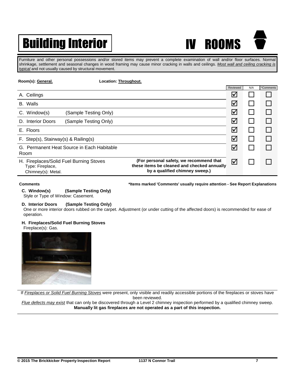## Building Interior | N ROOMS



Furniture and other personal possessions and/or stored items may prevent a complete examination of wall and/or floor surfaces. Normal shrinkage, settlement and seasonal changes in wood framing may cause minor cracking in walls and ceilings. *Most wall and ceiling cracking is typical* and not usually caused by structural movement.

| Room(s): General.                                                                 | Location: Throughout.                                                                                                    |                      |     |           |
|-----------------------------------------------------------------------------------|--------------------------------------------------------------------------------------------------------------------------|----------------------|-----|-----------|
|                                                                                   |                                                                                                                          | Reviewed             | N/A | *Comments |
| Ceilings<br>А.                                                                    |                                                                                                                          | ⊻                    |     |           |
| <b>B.</b> Walls                                                                   |                                                                                                                          | $\blacktriangledown$ |     |           |
| C. Window(s)<br>(Sample Testing Only)                                             |                                                                                                                          | $\blacktriangledown$ |     |           |
| D. Interior Doors<br>(Sample Testing Only)                                        |                                                                                                                          | $\blacktriangledown$ |     |           |
| E. Floors                                                                         |                                                                                                                          | $\blacktriangledown$ |     |           |
| F. Step(s), Stairway(s) & Railing(s)                                              |                                                                                                                          | $\blacktriangledown$ |     |           |
| G. Permanent Heat Source in Each Habitable                                        |                                                                                                                          | $\blacktriangledown$ |     |           |
| Room                                                                              |                                                                                                                          |                      |     |           |
| H. Fireplaces/Solid Fuel Burning Stoves<br>Type: Fireplace,<br>Chimney(s): Metal. | (For personal safety, we recommend that<br>these items be cleaned and checked annually<br>by a qualified chimney sweep.) | $\triangledown$      |     |           |

**Comments \*Items marked 'Comments' usually require attention - See Report Explanations**

**C. Window(s) (Sample Testing Only)** Style or Type of Window: Casement.

## **D. Interior Doors (Sample Testing Only)**

One or more interior doors rubbed on the carpet. Adjustment (or under cutting of the affected doors) is recommended for ease of operation.

### **H. Fireplaces/Solid Fuel Burning Stoves**

Fireplace(s): Gas.



If *Fireplaces or Solid Fuel Burning Stoves* were present, only visible and readily accessible portions of the fireplaces or stoves have

been reviewed.

*Flue defects may exist* that can only be discovered through a Level 2 chimney inspection performed by a qualified chimney sweep. **Manually lit gas fireplaces are not operated as a part of this inspection.**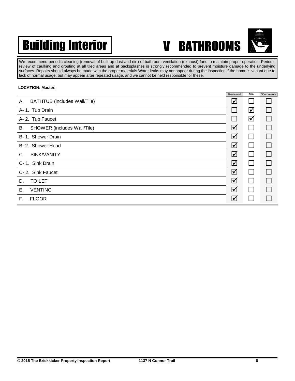## Building Interior | V BATHROOMS



We recommend periodic cleaning (removal of built-up dust and dirt) of bathroom ventilation (exhaust) fans to maintain proper operation. Periodic review of caulking and grouting at all tiled areas and at backsplashes is strongly recommended to prevent moisture damage to the underlying surfaces. Repairs should always be made with the proper materials.Water leaks may not appear during the inspection if the home is vacant due to lack of normal usage, but may appear after repeated usage, and we cannot be held responsible for these.

### **LOCATION: Master.**

|                                           | Reviewed | N/A          | *Comments |
|-------------------------------------------|----------|--------------|-----------|
| <b>BATHTUB</b> (includes Wall/Tile)<br>А. | ☑        |              |           |
| A-1. Tub Drain                            |          | ☑            |           |
| A-2. Tub Faucet                           |          | ☑            |           |
| SHOWER (includes Wall/Tile)<br>В.         | ☑        |              |           |
| B-1. Shower Drain                         | ☑        |              |           |
| B-2. Shower Head                          | ☑        |              |           |
| SINK/VANITY<br>C.                         | ☑        |              |           |
| C- 1. Sink Drain                          | ☑        |              |           |
| C-2. Sink Faucet                          | ☑        |              |           |
| <b>TOILET</b><br>D.                       | ☑        | $\mathbf{I}$ |           |
| <b>VENTING</b><br>Ε.                      | ☑        |              |           |
| <b>FLOOR</b><br>F.                        | ☑        |              |           |
|                                           |          |              |           |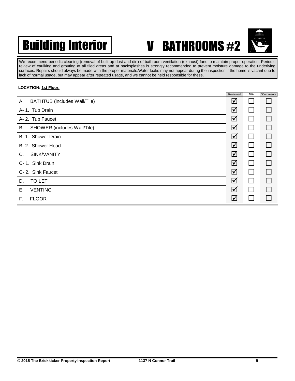

We recommend periodic cleaning (removal of built-up dust and dirt) of bathroom ventilation (exhaust) fans to maintain proper operation. Periodic review of caulking and grouting at all tiled areas and at backsplashes is strongly recommended to prevent moisture damage to the underlying surfaces. Repairs should always be made with the proper materials.Water leaks may not appear during the inspection if the home is vacant due to lack of normal usage, but may appear after repeated usage, and we cannot be held responsible for these.

### **LOCATION: 1st Floor.**

|                                           | Reviewed | N/A          | *Comments |
|-------------------------------------------|----------|--------------|-----------|
| <b>BATHTUB</b> (includes Wall/Tile)<br>А. | ☑        |              |           |
| A-1. Tub Drain                            | ☑        | $\mathbf{L}$ |           |
| A- 2. Tub Faucet                          | ☑        |              |           |
| В.<br>SHOWER (includes Wall/Tile)         | ☑        |              |           |
| B-1. Shower Drain                         | ☑        |              |           |
| B-2. Shower Head                          | ☑        |              |           |
| SINK/VANITY<br>C.                         | ☑        |              |           |
| C-1. Sink Drain                           | ☑        |              |           |
| C-2. Sink Faucet                          | ☑        | $\mathsf{L}$ |           |
| <b>TOILET</b><br>D.                       | ☑        | $\mathbf{I}$ |           |
| <b>VENTING</b><br>Е.                      | ☑        |              |           |
| <b>FLOOR</b><br>F.                        | ☑        |              |           |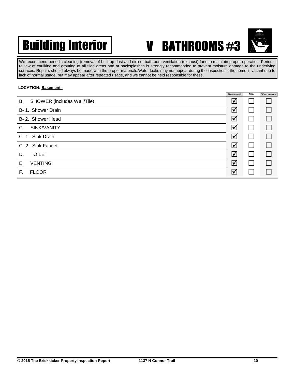

We recommend periodic cleaning (removal of built-up dust and dirt) of bathroom ventilation (exhaust) fans to maintain proper operation. Periodic review of caulking and grouting at all tiled areas and at backsplashes is strongly recommended to prevent moisture damage to the underlying surfaces. Repairs should always be made with the proper materials.Water leaks may not appear during the inspection if the home is vacant due to lack of normal usage, but may appear after repeated usage, and we cannot be held responsible for these.

### **LOCATION: Basement.**

|                                   | Reviewed | N/A | *Comments |
|-----------------------------------|----------|-----|-----------|
| SHOWER (includes Wall/Tile)<br>В. | ☑        |     |           |
| B-1. Shower Drain                 | ☑        |     |           |
| B-2. Shower Head                  | ☑        |     |           |
| SINK/VANITY<br>C.                 | ☑        |     |           |
| C- 1. Sink Drain                  | ☑        |     |           |
| C-2. Sink Faucet                  | ☑        |     |           |
| <b>TOILET</b><br>D.               | ☑        |     |           |
| <b>VENTING</b><br>Е.              | ☑        |     |           |
| <b>FLOOR</b><br>F.                | ☑        |     |           |
|                                   |          |     |           |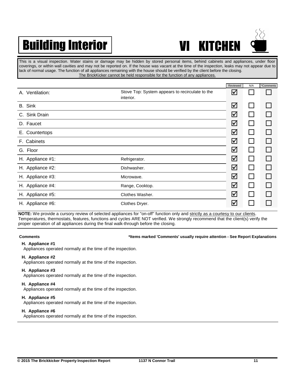## Building Interior | WI KITCHEN



This is a visual inspection. Water stains or damage may be hidden by stored personal items, behind cabinets and appliances, under floor coverings, or within wall cavities and may not be reported on. If the house was vacant at the time of the inspection, leaks may not appear due to lack of normal usage. The function of all appliances remaining with the house should be verified by the client before the closing. The BrickKicker cannot be held responsible for the function of any appliances.

|                    |                                                              | Reviewed             | N/A          | *Comments |
|--------------------|--------------------------------------------------------------|----------------------|--------------|-----------|
| Ventilation:<br>А. | Stove Top: System appears to recirculate to the<br>interior. | ∨                    |              |           |
| B. Sink            |                                                              | $\blacktriangledown$ |              |           |
| C. Sink Drain      |                                                              | ☑                    |              |           |
| D. Faucet          |                                                              | ☑                    | $\mathbf{I}$ |           |
| Countertops<br>Е.  |                                                              | ☑                    |              |           |
| F. Cabinets        |                                                              | $\boxtimes$          |              |           |
| G. Floor           |                                                              | ☑                    |              |           |
| H. Appliance #1:   | Refrigerator.                                                | $\boxtimes$          |              |           |
| H. Appliance #2:   | Dishwasher.                                                  | $\blacktriangledown$ |              |           |
| H. Appliance #3:   | Microwave.                                                   | ☑                    |              |           |
| H. Appliance #4:   | Range, Cooktop.                                              | ☑                    |              |           |
| H. Appliance #5:   | Clothes Washer.                                              | ☑                    |              |           |
| H. Appliance #6:   | Clothes Dryer.                                               | Ⅳ                    |              |           |

**NOTE:** We provide a cursory review of selected appliances for "on-off" function only and strictly as a courtesy to our clients. Temperatures, thermostats, features, functions and cycles ARE NOT verified. We strongly recommend that the client(s) verify the proper operation of all appliances during the final walk-through before the closing.

#### **Comments \*Items marked 'Comments' usually require attention - See Report Explanations**

#### **H. Appliance #1**

Appliances operated normally at the time of the inspection.

#### **H. Appliance #2**

Appliances operated normally at the time of the inspection.

#### **H. Appliance #3**

Appliances operated normally at the time of the inspection.

#### **H. Appliance #4**

Appliances operated normally at the time of the inspection.

#### **H. Appliance #5**

Appliances operated normally at the time of the inspection.

#### **H. Appliance #6**

Appliances operated normally at the time of the inspection.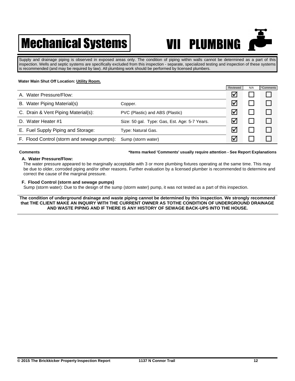## **Mechanical Systems VII PLUMBING**



Supply and drainage piping is observed in exposed areas only. The condition of piping within walls cannot be determined as a part of this inspection. Wells and septic systems are specifically excluded from this inspection - separate, specialized testing and inspection of these systems is recommended (and may be required by law). All plumbing work should be performed by licensed plumbers.

### **Water Main Shut Off Location: Utility Room.**

|                                            |                                               | Reviewed             | N/A | *Comments |
|--------------------------------------------|-----------------------------------------------|----------------------|-----|-----------|
| Water Pressure/Flow:<br>А.                 |                                               | Ⅳ                    |     |           |
| Water Piping Material(s)<br>В.             | Copper.                                       | $\blacktriangledown$ |     |           |
| C. Drain & Vent Piping Material(s):        | PVC (Plastic) and ABS (Plastic)               | M                    |     |           |
| D. Water Heater #1                         | Size: 50 gal. Type: Gas, Est. Age: 5-7 Years. | l✔                   |     |           |
| E. Fuel Supply Piping and Storage:         | Type: Natural Gas.                            | M                    |     |           |
| F. Flood Control (storm and sewage pumps): | Sump (storm water)                            | l✔                   |     |           |

#### **Comments \*Items marked 'Comments' usually require attention - See Report Explanations**

### **A. Water Pressure/Flow:**

The water pressure appeared to be marginally acceptable with 3 or more plumbing fixtures operating at the same time. This may be due to older, corroded piping and/or other reasons. Further evaluation by a licensed plumber is recommended to determine and correct the cause of the marginal pressure.

### **F. Flood Control (storm and sewage pumps)**

Sump (storm water): Due to the design of the sump (storm water) pump, it was not tested as a part of this inspection.

**The condition of underground drainage and waste piping cannot be determined by this inspection. We strongly recommend that THE CLIENT MAKE AN INQUIRY WITH THE CURRENT OWNER AS TOTHE CONDITION OF UNDERGROUND DRAINAGE AND WASTE PIPING AND IF THERE IS ANY HISTORY OF SEWAGE BACK-UPS INTO THE HOUSE.**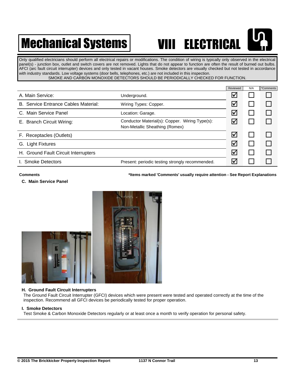## **Mechanical Systems VIII ELECTRICAL**

Only qualified electricians should perform all electrical repairs or modifications. The condition of wiring is typically only observed in the electrical panel(s) - junction box, outlet and switch covers are not removed. Lights that do not appear to function are often the result of burned out bulbs. AFCI (arc fault circuit interrupter) devices and only tested in vacant houses. Smoke detectors are visually checked but not tested in accordance with industry standards. Low voltage systems (door bells, telephones, etc.) are not included in this inspection. SMOKE AND CARBON MONOXIDE DETECTORS SHOULD BE PERIODICALLY CHECKED FOR FUNCTION.

|                                      |                                                                                  | Reviewed             | N/A | *Comments |
|--------------------------------------|----------------------------------------------------------------------------------|----------------------|-----|-----------|
| A. Main Service:                     | Underground.                                                                     | $\blacktriangledown$ |     |           |
| B. Service Entrance Cables Material: | Wiring Types: Copper.                                                            | ☑                    |     |           |
| C. Main Service Panel                | Location: Garage.                                                                | $\bm{\vee}$          |     |           |
| E. Branch Circuit Wiring:            | Conductor Material(s): Copper. Wiring Type(s):<br>Non-Metallic Sheathing (Romex) | $\triangledown$      |     |           |
| F. Receptacles (Outlets)             |                                                                                  | ☑                    |     |           |
| G. Light Fixtures                    |                                                                                  | ☑                    |     |           |
| H. Ground Fault Circuit Interrupters |                                                                                  | $\blacktriangledown$ |     |           |
| I. Smoke Detectors                   | Present: periodic testing strongly recommended.                                  | ⋈                    |     |           |

### **Comments \*Items marked 'Comments' usually require attention - See Report Explanations**

#### **C. Main Service Panel**



#### **H. Ground Fault Circuit Interrupters**

The Ground Fault Circuit Interrupter (GFCI) devices which were present were tested and operated correctly at the time of the inspection. Recommend all GFCI devices be periodically tested for proper operation.

#### **I. Smoke Detectors**

Test Smoke & Carbon Monoxide Detectors regularly or at least once a month to verify operation for personal safety.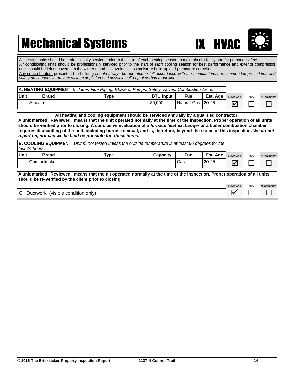## Mechanical Systems **IX HVAC**



All heating units should be professionally serviced prior to the start of each heating season to maintain efficiency and for personal safety. Air conditioning units should be professionally serviced prior to the start of each cooling season for best performance and exterior compressor units should be left uncovered in the winter months to avoid excess moisture build-up and premature corrosion. Any space heaters present in the building *should always be operated in full accordance with the manufacturer's recommended procedures and safety precautions to prevent oxygen depletion and possible build-up of carbon monoxide.*

| A. HEATING EQUIPMENT Includes Flue Piping, Blowers, Pumps, Safety Valves, Combustion Air, etc. |      |                  |                     |          |          |     |           |
|------------------------------------------------------------------------------------------------|------|------------------|---------------------|----------|----------|-----|-----------|
| Unit<br><b>Brand</b>                                                                           | Type | <b>BTU Input</b> | Fuel                | Est. Age | Reviewed | N/A | *Comments |
| Arcoaire.                                                                                      |      | 180.000.         | Natural Gas. 20-25. |          | l٧       |     |           |

**All heating and cooling equipment should be serviced annually by a qualified contractor.** 

**A unit marked "Reviewed" means that the unit operated normally at the time of the inspection. Proper operation of all units should be verified prior to closing. A conclusive evaluation of a** *furnace heat exchanger* **or a boiler combustion chamber requires dismantling of the unit, including burner removal, and is, therefore, beyond the scope of this inspection.** *We do not report on, nor can we be held responsible for, these items.*

| <b>B. COOLING EQUIPMENT</b> Unit(s) not tested unless the outside temperature is at least 60 degrees for the $\vert$<br>last 24 hours. |       |      |                 |             |          |          |     |           |
|----------------------------------------------------------------------------------------------------------------------------------------|-------|------|-----------------|-------------|----------|----------|-----|-----------|
| <b>Unit</b>                                                                                                                            | Brand | Type | <b>Capacity</b> | <b>Fuel</b> | Est. Age | Reviewed | N/A | *Comments |
| Comfortmaker.                                                                                                                          |       |      |                 | Gas.        | $20-25.$ | ∇        |     |           |

**A unit marked "Reviewed" means that the nit operated normally at the time of the inspection. Proper operation of all units should be re-verified by the client prior to closing.**

|                                                      | Reviewed | N/A | Comments |
|------------------------------------------------------|----------|-----|----------|
| (visible condition)<br>r<br>only)<br><b>Ductwork</b> | ю.       |     |          |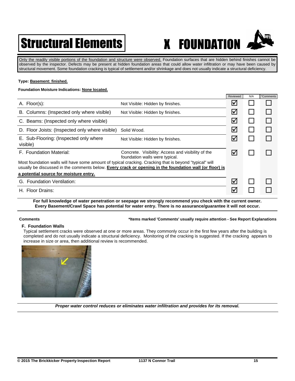## Structural Elements | X FOUNDATION

Only the readily visible portions of the foundation and structure were observed. Foundation surfaces that are hidden behind finishes cannot be observed by the inspector. Defects may be present at hidden foundation areas that could allow water infiltration or may have been caused by structural movement. Some foundation cracking is typical of settlement and/or shrinkage and does not usually indicate a structural deficiency.

#### **Type: Basement: finished.**

### **Foundation Moisture Indications: None located.**

|                                                                                                                                                                                                                    |                                                                                      | Reviewed             | N/A | *Comments    |
|--------------------------------------------------------------------------------------------------------------------------------------------------------------------------------------------------------------------|--------------------------------------------------------------------------------------|----------------------|-----|--------------|
| A. Floor(s):                                                                                                                                                                                                       | Not Visible: Hidden by finishes.                                                     | $\boldsymbol{\vee}$  |     |              |
| B. Columns: (Inspected only where visible)                                                                                                                                                                         | Not Visible: Hidden by finishes.                                                     | $\blacktriangledown$ |     |              |
| C. Beams: (Inspected only where visible)                                                                                                                                                                           |                                                                                      | $\blacktriangledown$ |     | $\mathsf{I}$ |
| D. Floor Joists: (Inspected only where visible)                                                                                                                                                                    | Solid Wood.                                                                          | ☑                    |     |              |
| E. Sub-Flooring: (Inspected only where<br>visible)                                                                                                                                                                 | Not Visible: Hidden by finishes.                                                     | l۷                   |     |              |
| F. Foundation Material:                                                                                                                                                                                            | Concrete. Visibility: Access and visibility of the<br>foundation walls were typical. | $\blacktriangledown$ |     |              |
| Most foundation walls will have some amount of typical cracking. Cracking that is beyond "typical" will<br>usually be discussed in the comments below. Every crack or opening in the foundation wall (or floor) is |                                                                                      |                      |     |              |
| a potential source for moisture entry.                                                                                                                                                                             |                                                                                      |                      |     |              |
| G. Foundation Ventilation:                                                                                                                                                                                         |                                                                                      | $\blacktriangledown$ |     |              |
| H. Floor Drains:                                                                                                                                                                                                   |                                                                                      | ∨                    |     |              |

**For full knowledge of water penetration or seepage we strongly recommend you check with the current owner. Every Basement/Crawl Space has potential for water entry. There is no assurance/guarantee it will not occur.**

#### **Comments \*Items marked 'Comments' usually require attention - See Report Explanations**

#### **F. Foundation Walls**

Typical settlement cracks were observed at one or more areas. They commonly occur in the first few years after the building is completed and do not usually indicate a structural deficiency. Monitoring of the cracking is suggested. If the cracking appears to increase in size or area, then additional review is recommended.



*Proper water control reduces or eliminates water infiltration and provides for its removal.*